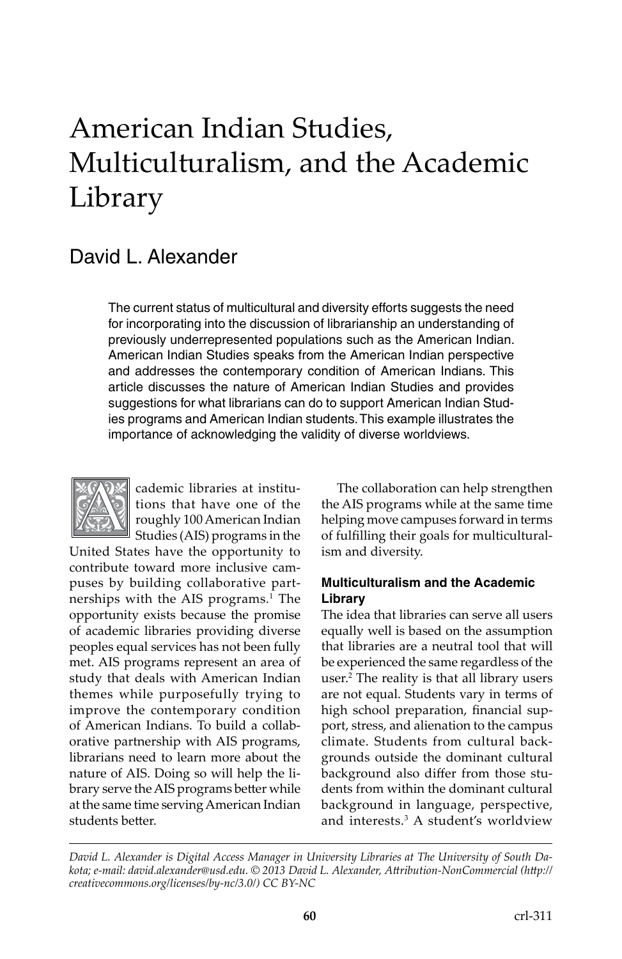# American Indian Studies, Multiculturalism, and the Academic Library

# David L. Alexander

The current status of multicultural and diversity efforts suggests the need for incorporating into the discussion of librarianship an understanding of previously underrepresented populations such as the American Indian. American Indian Studies speaks from the American Indian perspective and addresses the contemporary condition of American Indians. This article discusses the nature of American Indian Studies and provides suggestions for what librarians can do to support American Indian Studies programs and American Indian students. This example illustrates the importance of acknowledging the validity of diverse worldviews.



cademic libraries at institutions that have one of the roughly 100 American Indian Studies (AIS) programs in the

United States have the opportunity to contribute toward more inclusive campuses by building collaborative partnerships with the AIS programs.<sup>1</sup> The opportunity exists because the promise of academic libraries providing diverse peoples equal services has not been fully met. AIS programs represent an area of study that deals with American Indian themes while purposefully trying to improve the contemporary condition of American Indians. To build a collaborative partnership with AIS programs, librarians need to learn more about the nature of AIS. Doing so will help the library serve the AIS programs better while at the same time serving American Indian students better.

The collaboration can help strengthen the AIS programs while at the same time helping move campuses forward in terms of fulfilling their goals for multiculturalism and diversity.

# **Multiculturalism and the Academic Library**

The idea that libraries can serve all users equally well is based on the assumption that libraries are a neutral tool that will be experienced the same regardless of the user.2 The reality is that all library users are not equal. Students vary in terms of high school preparation, financial support, stress, and alienation to the campus climate. Students from cultural backgrounds outside the dominant cultural background also differ from those students from within the dominant cultural background in language, perspective, and interests.3 A student's worldview

*David L. Alexander is Digital Access Manager in University Libraries at The University of South Dakota; e-mail: david.alexander@usd.edu. © 2013 David L. Alexander, Attribution-NonCommercial (http:// creativecommons.org/licenses/by-nc/3.0/) CC BY-NC*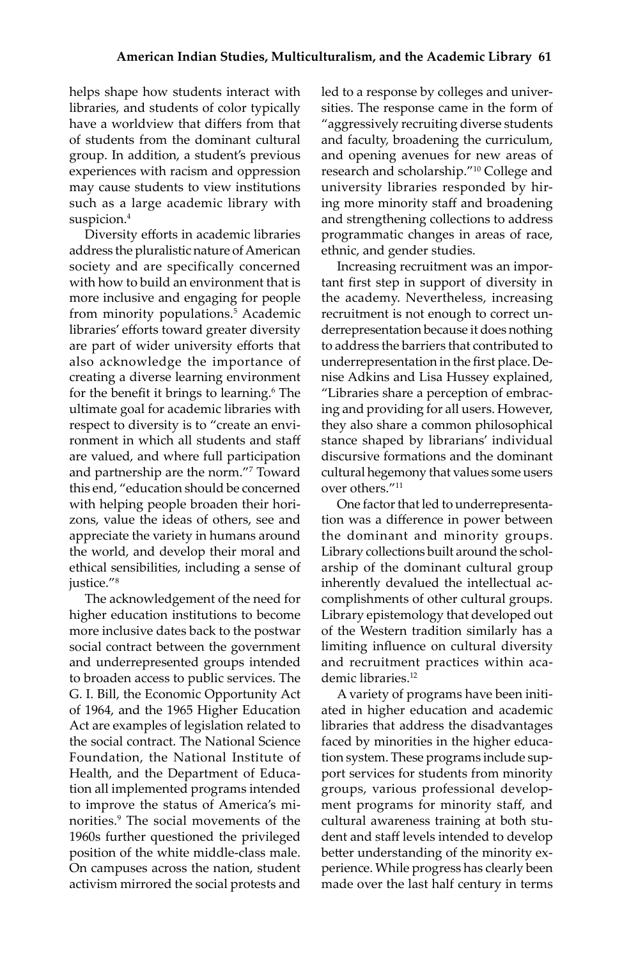helps shape how students interact with libraries, and students of color typically have a worldview that differs from that of students from the dominant cultural group. In addition, a student's previous experiences with racism and oppression may cause students to view institutions such as a large academic library with suspicion.<sup>4</sup>

Diversity efforts in academic libraries address the pluralistic nature of American society and are specifically concerned with how to build an environment that is more inclusive and engaging for people from minority populations.<sup>5</sup> Academic libraries' efforts toward greater diversity are part of wider university efforts that also acknowledge the importance of creating a diverse learning environment for the benefit it brings to learning.<sup>6</sup> The ultimate goal for academic libraries with respect to diversity is to "create an environment in which all students and staff are valued, and where full participation and partnership are the norm."7 Toward this end, "education should be concerned with helping people broaden their horizons, value the ideas of others, see and appreciate the variety in humans around the world, and develop their moral and ethical sensibilities, including a sense of justice."8

The acknowledgement of the need for higher education institutions to become more inclusive dates back to the postwar social contract between the government and underrepresented groups intended to broaden access to public services. The G. I. Bill, the Economic Opportunity Act of 1964, and the 1965 Higher Education Act are examples of legislation related to the social contract. The National Science Foundation, the National Institute of Health, and the Department of Education all implemented programs intended to improve the status of America's minorities.9 The social movements of the 1960s further questioned the privileged position of the white middle-class male. On campuses across the nation, student activism mirrored the social protests and

led to a response by colleges and universities. The response came in the form of "aggressively recruiting diverse students and faculty, broadening the curriculum, and opening avenues for new areas of research and scholarship."10 College and university libraries responded by hiring more minority staff and broadening and strengthening collections to address programmatic changes in areas of race, ethnic, and gender studies.

Increasing recruitment was an important first step in support of diversity in the academy. Nevertheless, increasing recruitment is not enough to correct underrepresentation because it does nothing to address the barriers that contributed to underrepresentation in the first place. Denise Adkins and Lisa Hussey explained, "Libraries share a perception of embracing and providing for all users. However, they also share a common philosophical stance shaped by librarians' individual discursive formations and the dominant cultural hegemony that values some users over others."11

One factor that led to underrepresentation was a difference in power between the dominant and minority groups. Library collections built around the scholarship of the dominant cultural group inherently devalued the intellectual accomplishments of other cultural groups. Library epistemology that developed out of the Western tradition similarly has a limiting influence on cultural diversity and recruitment practices within academic libraries.12

A variety of programs have been initiated in higher education and academic libraries that address the disadvantages faced by minorities in the higher education system. These programs include support services for students from minority groups, various professional development programs for minority staff, and cultural awareness training at both student and staff levels intended to develop better understanding of the minority experience. While progress has clearly been made over the last half century in terms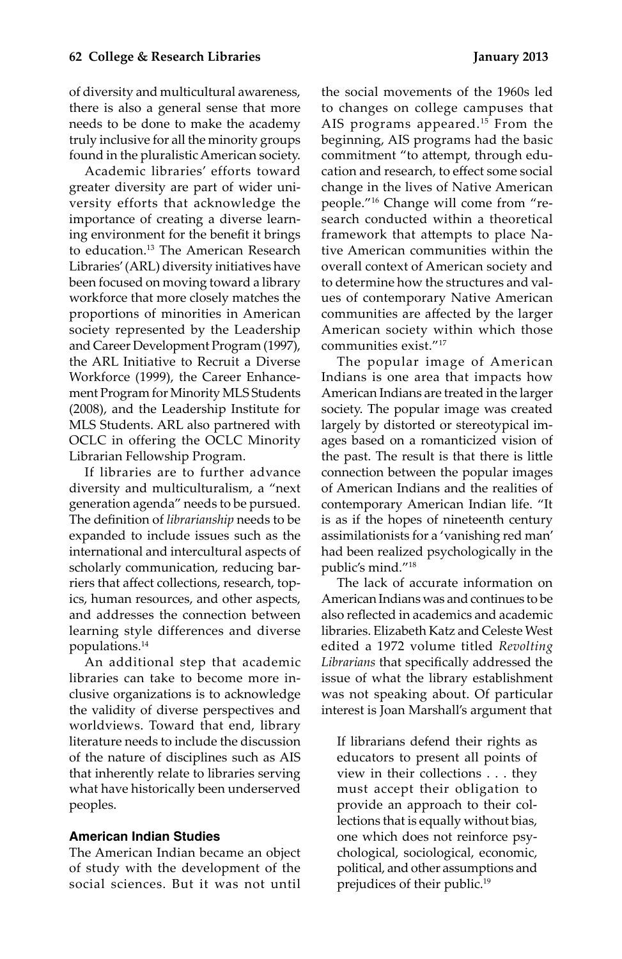of diversity and multicultural awareness, there is also a general sense that more needs to be done to make the academy truly inclusive for all the minority groups found in the pluralistic American society.

Academic libraries' efforts toward greater diversity are part of wider university efforts that acknowledge the importance of creating a diverse learning environment for the benefit it brings to education.<sup>13</sup> The American Research Libraries' (ARL) diversity initiatives have been focused on moving toward a library workforce that more closely matches the proportions of minorities in American society represented by the Leadership and Career Development Program (1997), the ARL Initiative to Recruit a Diverse Workforce (1999), the Career Enhancement Program for Minority MLS Students (2008), and the Leadership Institute for MLS Students. ARL also partnered with OCLC in offering the OCLC Minority Librarian Fellowship Program.

If libraries are to further advance diversity and multiculturalism, a "next generation agenda" needs to be pursued. The definition of *librarianship* needs to be expanded to include issues such as the international and intercultural aspects of scholarly communication, reducing barriers that affect collections, research, topics, human resources, and other aspects, and addresses the connection between learning style differences and diverse populations.14

An additional step that academic libraries can take to become more inclusive organizations is to acknowledge the validity of diverse perspectives and worldviews. Toward that end, library literature needs to include the discussion of the nature of disciplines such as AIS that inherently relate to libraries serving what have historically been underserved peoples.

### **American Indian Studies**

The American Indian became an object of study with the development of the social sciences. But it was not until

the social movements of the 1960s led to changes on college campuses that AIS programs appeared.<sup>15</sup> From the beginning, AIS programs had the basic commitment "to attempt, through education and research, to effect some social change in the lives of Native American people."16 Change will come from "research conducted within a theoretical framework that attempts to place Native American communities within the overall context of American society and to determine how the structures and values of contemporary Native American communities are affected by the larger American society within which those communities exist."17

The popular image of American Indians is one area that impacts how American Indians are treated in the larger society. The popular image was created largely by distorted or stereotypical images based on a romanticized vision of the past. The result is that there is little connection between the popular images of American Indians and the realities of contemporary American Indian life. "It is as if the hopes of nineteenth century assimilationists for a 'vanishing red man' had been realized psychologically in the public's mind."18

The lack of accurate information on American Indians was and continues to be also reflected in academics and academic libraries. Elizabeth Katz and Celeste West edited a 1972 volume titled *Revolting Librarians* that specifically addressed the issue of what the library establishment was not speaking about. Of particular interest is Joan Marshall's argument that

If librarians defend their rights as educators to present all points of view in their collections . . . they must accept their obligation to provide an approach to their collections that is equally without bias, one which does not reinforce psychological, sociological, economic, political, and other assumptions and prejudices of their public.19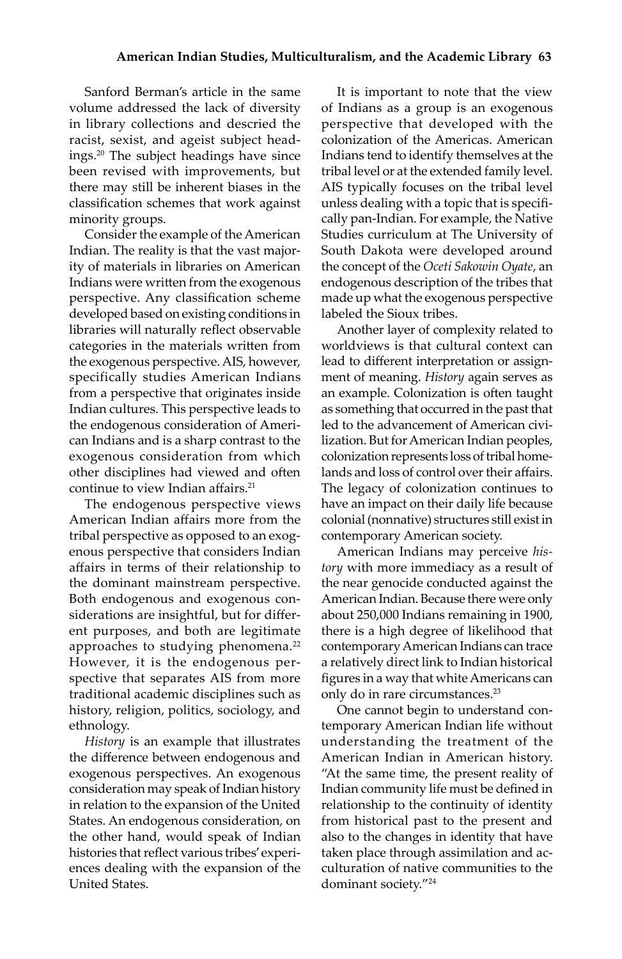#### **American Indian Studies, Multiculturalism, and the Academic Library 63**

Sanford Berman's article in the same volume addressed the lack of diversity in library collections and descried the racist, sexist, and ageist subject headings.20 The subject headings have since been revised with improvements, but there may still be inherent biases in the classification schemes that work against minority groups.

Consider the example of the American Indian. The reality is that the vast majority of materials in libraries on American Indians were written from the exogenous perspective. Any classification scheme developed based on existing conditions in libraries will naturally reflect observable categories in the materials written from the exogenous perspective. AIS, however, specifically studies American Indians from a perspective that originates inside Indian cultures. This perspective leads to the endogenous consideration of American Indians and is a sharp contrast to the exogenous consideration from which other disciplines had viewed and often continue to view Indian affairs.<sup>21</sup>

The endogenous perspective views American Indian affairs more from the tribal perspective as opposed to an exogenous perspective that considers Indian affairs in terms of their relationship to the dominant mainstream perspective. Both endogenous and exogenous considerations are insightful, but for different purposes, and both are legitimate approaches to studying phenomena.<sup>22</sup> However, it is the endogenous perspective that separates AIS from more traditional academic disciplines such as history, religion, politics, sociology, and ethnology.

*History* is an example that illustrates the difference between endogenous and exogenous perspectives. An exogenous consideration may speak of Indian history in relation to the expansion of the United States. An endogenous consideration, on the other hand, would speak of Indian histories that reflect various tribes' experiences dealing with the expansion of the United States.

It is important to note that the view of Indians as a group is an exogenous perspective that developed with the colonization of the Americas. American Indians tend to identify themselves at the tribal level or at the extended family level. AIS typically focuses on the tribal level unless dealing with a topic that is specifically pan-Indian. For example, the Native Studies curriculum at The University of South Dakota were developed around the concept of the *Oceti Sakowin Oyate*, an endogenous description of the tribes that made up what the exogenous perspective labeled the Sioux tribes.

Another layer of complexity related to worldviews is that cultural context can lead to different interpretation or assignment of meaning. *History* again serves as an example. Colonization is often taught as something that occurred in the past that led to the advancement of American civilization. But for American Indian peoples, colonization represents loss of tribal homelands and loss of control over their affairs. The legacy of colonization continues to have an impact on their daily life because colonial (nonnative) structures still exist in contemporary American society.

American Indians may perceive *history* with more immediacy as a result of the near genocide conducted against the American Indian. Because there were only about 250,000 Indians remaining in 1900, there is a high degree of likelihood that contemporary American Indians can trace a relatively direct link to Indian historical figures in a way that white Americans can only do in rare circumstances.<sup>23</sup>

One cannot begin to understand contemporary American Indian life without understanding the treatment of the American Indian in American history. "At the same time, the present reality of Indian community life must be defined in relationship to the continuity of identity from historical past to the present and also to the changes in identity that have taken place through assimilation and acculturation of native communities to the dominant society."24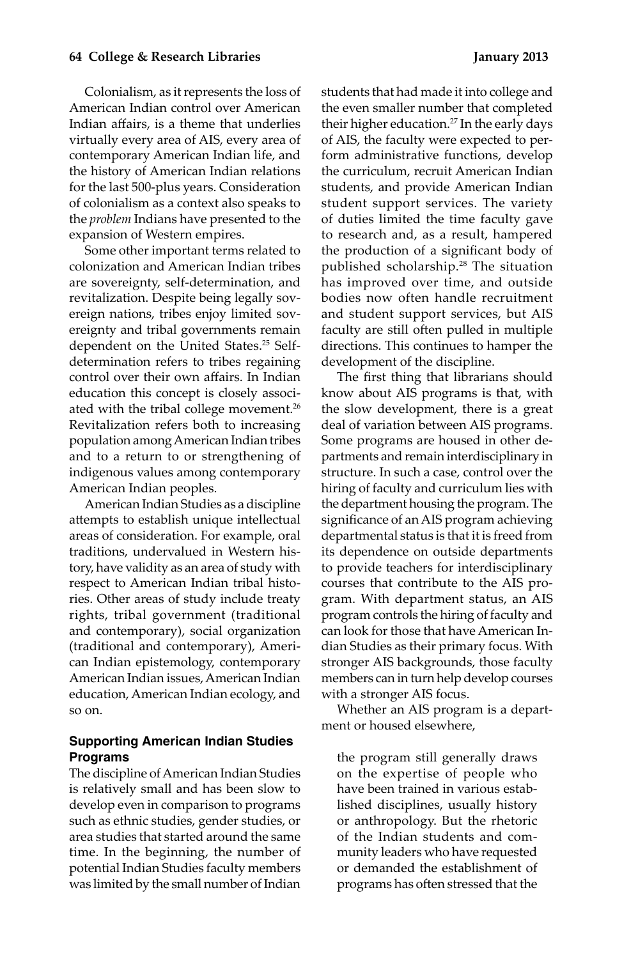Colonialism, as it represents the loss of American Indian control over American Indian affairs, is a theme that underlies virtually every area of AIS, every area of contemporary American Indian life, and the history of American Indian relations for the last 500-plus years. Consideration of colonialism as a context also speaks to the *problem* Indians have presented to the expansion of Western empires.

Some other important terms related to colonization and American Indian tribes are sovereignty, self-determination, and revitalization. Despite being legally sovereign nations, tribes enjoy limited sovereignty and tribal governments remain dependent on the United States.25 Selfdetermination refers to tribes regaining control over their own affairs. In Indian education this concept is closely associated with the tribal college movement.<sup>26</sup> Revitalization refers both to increasing population among American Indian tribes and to a return to or strengthening of indigenous values among contemporary American Indian peoples.

American Indian Studies as a discipline attempts to establish unique intellectual areas of consideration. For example, oral traditions, undervalued in Western history, have validity as an area of study with respect to American Indian tribal histories. Other areas of study include treaty rights, tribal government (traditional and contemporary), social organization (traditional and contemporary), American Indian epistemology, contemporary American Indian issues, American Indian education, American Indian ecology, and so on.

# **Supporting American Indian Studies Programs**

The discipline of American Indian Studies is relatively small and has been slow to develop even in comparison to programs such as ethnic studies, gender studies, or area studies that started around the same time. In the beginning, the number of potential Indian Studies faculty members was limited by the small number of Indian students that had made it into college and the even smaller number that completed their higher education.<sup>27</sup> In the early days of AIS, the faculty were expected to perform administrative functions, develop the curriculum, recruit American Indian students, and provide American Indian student support services. The variety of duties limited the time faculty gave to research and, as a result, hampered the production of a significant body of published scholarship.<sup>28</sup> The situation has improved over time, and outside bodies now often handle recruitment and student support services, but AIS faculty are still often pulled in multiple directions. This continues to hamper the development of the discipline.

The first thing that librarians should know about AIS programs is that, with the slow development, there is a great deal of variation between AIS programs. Some programs are housed in other departments and remain interdisciplinary in structure. In such a case, control over the hiring of faculty and curriculum lies with the department housing the program. The significance of an AIS program achieving departmental status is that it is freed from its dependence on outside departments to provide teachers for interdisciplinary courses that contribute to the AIS program. With department status, an AIS program controls the hiring of faculty and can look for those that have American Indian Studies as their primary focus. With stronger AIS backgrounds, those faculty members can in turn help develop courses with a stronger AIS focus.

Whether an AIS program is a department or housed elsewhere,

the program still generally draws on the expertise of people who have been trained in various established disciplines, usually history or anthropology. But the rhetoric of the Indian students and community leaders who have requested or demanded the establishment of programs has often stressed that the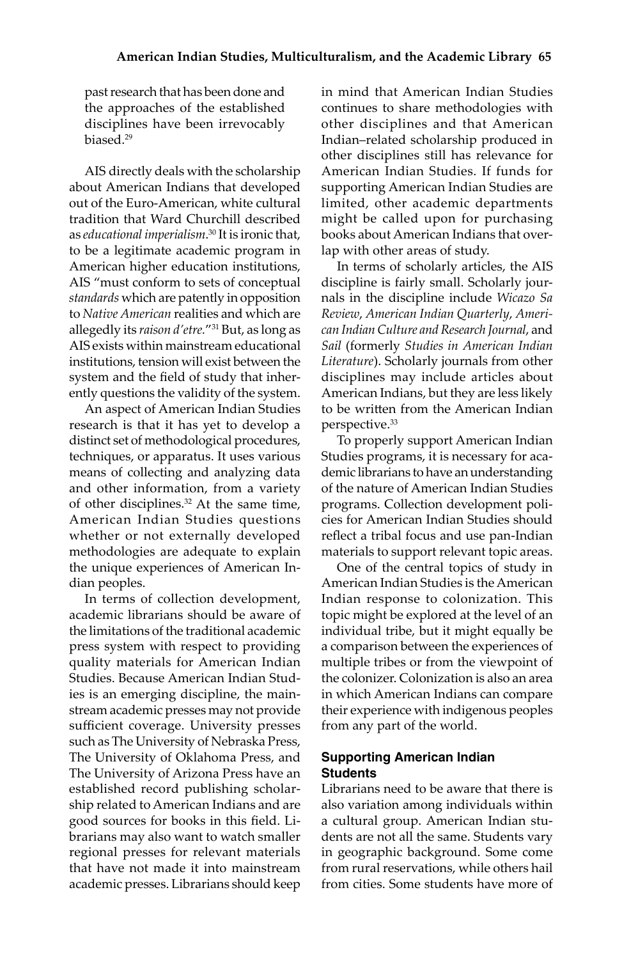past research that has been done and the approaches of the established disciplines have been irrevocably biased.29

AIS directly deals with the scholarship about American Indians that developed out of the Euro-American, white cultural tradition that Ward Churchill described as *educational imperialism*. 30 It is ironic that, to be a legitimate academic program in American higher education institutions, AIS "must conform to sets of conceptual *standards* which are patently in opposition to *Native American* realities and which are allegedly its *raison d'etre.*"31 But, as long as AIS exists within mainstream educational institutions, tension will exist between the system and the field of study that inherently questions the validity of the system.

An aspect of American Indian Studies research is that it has yet to develop a distinct set of methodological procedures, techniques, or apparatus. It uses various means of collecting and analyzing data and other information, from a variety of other disciplines.<sup>32</sup> At the same time, American Indian Studies questions whether or not externally developed methodologies are adequate to explain the unique experiences of American Indian peoples.

In terms of collection development, academic librarians should be aware of the limitations of the traditional academic press system with respect to providing quality materials for American Indian Studies. Because American Indian Studies is an emerging discipline, the mainstream academic presses may not provide sufficient coverage. University presses such as The University of Nebraska Press, The University of Oklahoma Press, and The University of Arizona Press have an established record publishing scholarship related to American Indians and are good sources for books in this field. Librarians may also want to watch smaller regional presses for relevant materials that have not made it into mainstream academic presses. Librarians should keep

in mind that American Indian Studies continues to share methodologies with other disciplines and that American Indian–related scholarship produced in other disciplines still has relevance for American Indian Studies. If funds for supporting American Indian Studies are limited, other academic departments might be called upon for purchasing books about American Indians that overlap with other areas of study.

In terms of scholarly articles, the AIS discipline is fairly small. Scholarly journals in the discipline include *Wicazo Sa Review*, *American Indian Quarterly*, *American Indian Culture and Research Journal*, and *Sail* (formerly *Studies in American Indian Literature*). Scholarly journals from other disciplines may include articles about American Indians, but they are less likely to be written from the American Indian perspective.<sup>33</sup>

To properly support American Indian Studies programs, it is necessary for academic librarians to have an understanding of the nature of American Indian Studies programs. Collection development policies for American Indian Studies should reflect a tribal focus and use pan-Indian materials to support relevant topic areas.

One of the central topics of study in American Indian Studies is the American Indian response to colonization. This topic might be explored at the level of an individual tribe, but it might equally be a comparison between the experiences of multiple tribes or from the viewpoint of the colonizer. Colonization is also an area in which American Indians can compare their experience with indigenous peoples from any part of the world.

# **Supporting American Indian Students**

Librarians need to be aware that there is also variation among individuals within a cultural group. American Indian students are not all the same. Students vary in geographic background. Some come from rural reservations, while others hail from cities. Some students have more of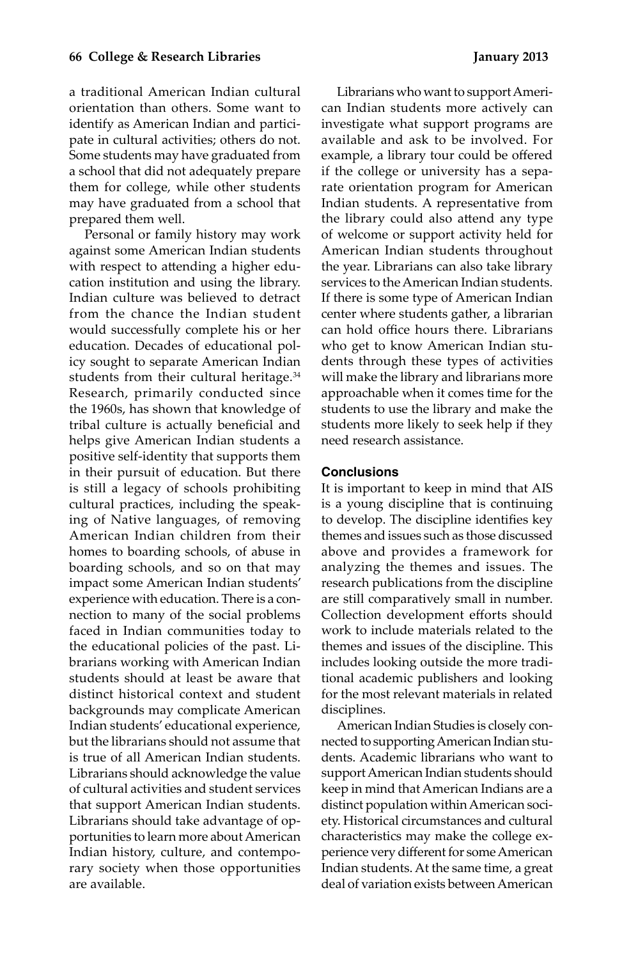a traditional American Indian cultural orientation than others. Some want to identify as American Indian and participate in cultural activities; others do not. Some students may have graduated from a school that did not adequately prepare them for college, while other students may have graduated from a school that prepared them well.

Personal or family history may work against some American Indian students with respect to attending a higher education institution and using the library. Indian culture was believed to detract from the chance the Indian student would successfully complete his or her education. Decades of educational policy sought to separate American Indian students from their cultural heritage.<sup>34</sup> Research, primarily conducted since the 1960s, has shown that knowledge of tribal culture is actually beneficial and helps give American Indian students a positive self-identity that supports them in their pursuit of education. But there is still a legacy of schools prohibiting cultural practices, including the speaking of Native languages, of removing American Indian children from their homes to boarding schools, of abuse in boarding schools, and so on that may impact some American Indian students' experience with education. There is a connection to many of the social problems faced in Indian communities today to the educational policies of the past. Librarians working with American Indian students should at least be aware that distinct historical context and student backgrounds may complicate American Indian students' educational experience, but the librarians should not assume that is true of all American Indian students. Librarians should acknowledge the value of cultural activities and student services that support American Indian students. Librarians should take advantage of opportunities to learn more about American Indian history, culture, and contemporary society when those opportunities are available.

Librarians who want to support American Indian students more actively can investigate what support programs are available and ask to be involved. For example, a library tour could be offered if the college or university has a separate orientation program for American Indian students. A representative from the library could also attend any type of welcome or support activity held for American Indian students throughout the year. Librarians can also take library services to the American Indian students. If there is some type of American Indian center where students gather, a librarian can hold office hours there. Librarians who get to know American Indian students through these types of activities will make the library and librarians more approachable when it comes time for the students to use the library and make the students more likely to seek help if they need research assistance.

#### **Conclusions**

It is important to keep in mind that AIS is a young discipline that is continuing to develop. The discipline identifies key themes and issues such as those discussed above and provides a framework for analyzing the themes and issues. The research publications from the discipline are still comparatively small in number. Collection development efforts should work to include materials related to the themes and issues of the discipline. This includes looking outside the more traditional academic publishers and looking for the most relevant materials in related disciplines.

American Indian Studies is closely connected to supporting American Indian students. Academic librarians who want to support American Indian students should keep in mind that American Indians are a distinct population within American society. Historical circumstances and cultural characteristics may make the college experience very different for some American Indian students. At the same time, a great deal of variation exists between American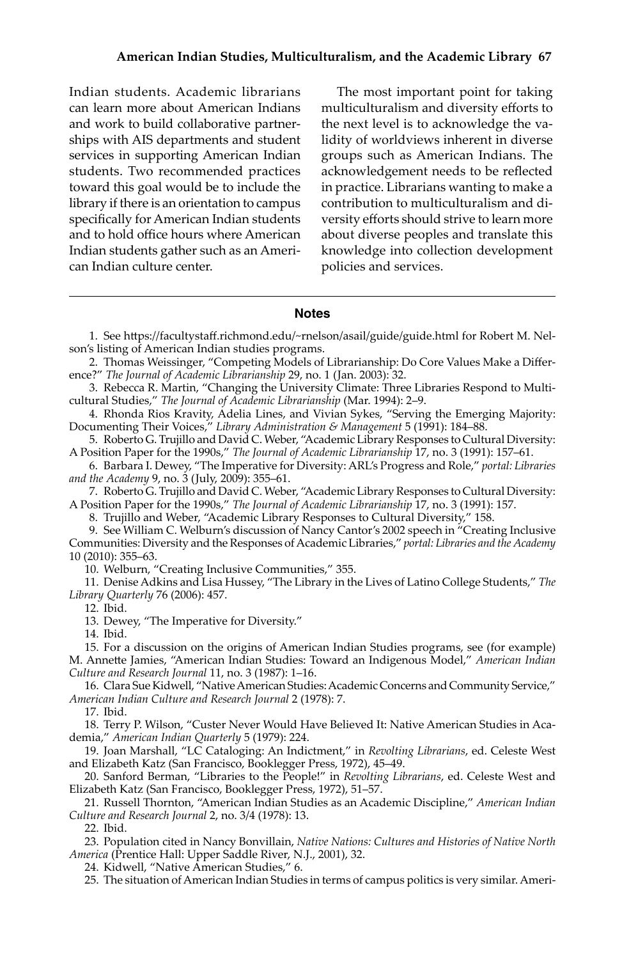### **American Indian Studies, Multiculturalism, and the Academic Library 67**

Indian students. Academic librarians can learn more about American Indians and work to build collaborative partnerships with AIS departments and student services in supporting American Indian students. Two recommended practices toward this goal would be to include the library if there is an orientation to campus specifically for American Indian students and to hold office hours where American Indian students gather such as an American Indian culture center.

The most important point for taking multiculturalism and diversity efforts to the next level is to acknowledge the validity of worldviews inherent in diverse groups such as American Indians. The acknowledgement needs to be reflected in practice. Librarians wanting to make a contribution to multiculturalism and diversity efforts should strive to learn more about diverse peoples and translate this knowledge into collection development policies and services.

# **Notes**

 1. See https://facultystaff.richmond.edu/~rnelson/asail/guide/guide.html for Robert M. Nelson's listing of American Indian studies programs.

- 2. Thomas Weissinger, "Competing Models of Librarianship: Do Core Values Make a Difference?" *The Journal of Academic Librarianship* 29, no. 1 (Jan. 2003): 32.
- 3. Rebecca R. Martin, "Changing the University Climate: Three Libraries Respond to Multicultural Studies," *The Journal of Academic Librarianship* (Mar. 1994): 2–9.
- 4. Rhonda Rios Kravity, Adelia Lines, and Vivian Sykes, "Serving the Emerging Majority: Documenting Their Voices," *Library Administration & Management* 5 (1991): 184–88.

 5. Roberto G. Trujillo and David C. Weber, "Academic Library Responses to Cultural Diversity: A Position Paper for the 1990s," *The Journal of Academic Librarianship* 17, no. 3 (1991): 157–61.

 6. Barbara I. Dewey, "The Imperative for Diversity: ARL's Progress and Role," *portal: Libraries and the Academy* 9, no. 3 (July, 2009): 355–61.

 7. Roberto G. Trujillo and David C. Weber, "Academic Library Responses to Cultural Diversity: A Position Paper for the 1990s," *The Journal of Academic Librarianship* 17, no. 3 (1991): 157.

8. Trujillo and Weber, "Academic Library Responses to Cultural Diversity," 158.

 9. See William C. Welburn's discussion of Nancy Cantor's 2002 speech in "Creating Inclusive Communities: Diversity and the Responses of Academic Libraries," *portal: Libraries and the Academy*  10 (2010): 355–63.

10. Welburn, "Creating Inclusive Communities," 355.

11. Denise Adkins and Lisa Hussey, "The Library in the Lives of Latino College Students," *The Library Quarterly* 76 (2006): 457.

12. Ibid.

13. Dewey, "The Imperative for Diversity."

14. Ibid.

15. For a discussion on the origins of American Indian Studies programs, see (for example) M. Annette Jamies, "American Indian Studies: Toward an Indigenous Model," *American Indian Culture and Research Journal* 11, no. 3 (1987): 1–16.

16. Clara Sue Kidwell, "Native American Studies: Academic Concerns and Community Service," *American Indian Culture and Research Journal* 2 (1978): 7.

17. Ibid.

18. Terry P. Wilson, "Custer Never Would Have Believed It: Native American Studies in Academia," *American Indian Quarterly* 5 (1979): 224.

19. Joan Marshall, "LC Cataloging: An Indictment," in *Revolting Librarians*, ed. Celeste West and Elizabeth Katz (San Francisco, Booklegger Press, 1972), 45–49.

20. Sanford Berman, "Libraries to the People!" in *Revolting Librarians*, ed. Celeste West and Elizabeth Katz (San Francisco, Booklegger Press, 1972), 51–57.

21. Russell Thornton, "American Indian Studies as an Academic Discipline," *American Indian Culture and Research Journal* 2, no. 3/4 (1978): 13.

22. Ibid.

23. Population cited in Nancy Bonvillain, *Native Nations: Cultures and Histories of Native North America* (Prentice Hall: Upper Saddle River, N.J., 2001), 32.

24. Kidwell, "Native American Studies," 6.

25. The situation of American Indian Studies in terms of campus politics is very similar. Ameri-